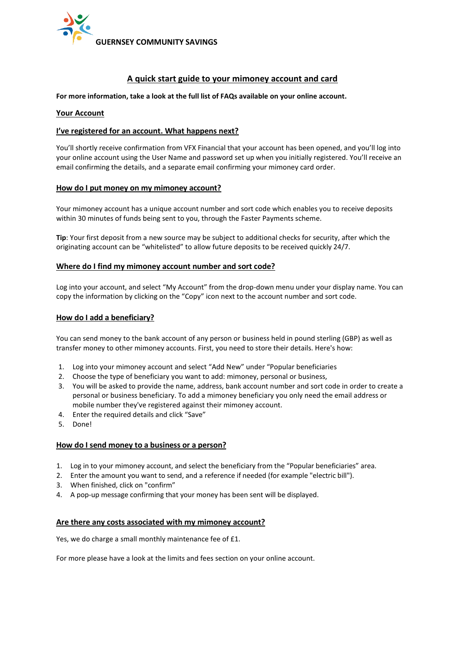

# **A quick start guide to your mimoney account and card**

**For more information, take a look at the full list of FAQs available on your online account.** 

# **Your Account**

# **I've registered for an account. What happens next?**

You'll shortly receive confirmation from VFX Financial that your account has been opened, and you'll log into your online account using the User Name and password set up when you initially registered. You'll receive an email confirming the details, and a separate email confirming your mimoney card order.

### **How do I put money on my mimoney account?**

Your mimoney account has a unique account number and sort code which enables you to receive deposits within 30 minutes of funds being sent to you, through the Faster Payments scheme.

**Tip**: Your first deposit from a new source may be subject to additional checks for security, after which the originating account can be "whitelisted" to allow future deposits to be received quickly 24/7.

# **Where do I find my mimoney account number and sort code?**

Log into your account, and select "My Account" from the drop-down menu under your display name. You can copy the information by clicking on the "Copy" icon next to the account number and sort code.

# **How do I add a beneficiary?**

You can send money to the bank account of any person or business held in pound sterling (GBP) as well as transfer money to other mimoney accounts. First, you need to store their details. Here's how:

- 1. Log into your mimoney account and select "Add New" under "Popular beneficiaries
- 2. Choose the type of beneficiary you want to add: mimoney, personal or business,
- 3. You will be asked to provide the name, address, bank account number and sort code in order to create a personal or business beneficiary. To add a mimoney beneficiary you only need the email address or mobile number they've registered against their mimoney account.
- 4. Enter the required details and click "Save"
- 5. Done!

### **How do I send money to a business or a person?**

- 1. Log in to your mimoney account, and select the beneficiary from the "Popular beneficiaries" area.
- 2. Enter the amount you want to send, and a reference if needed (for example "electric bill").
- 3. When finished, click on "confirm"
- 4. A pop-up message confirming that your money has been sent will be displayed.

### **Are there any costs associated with my mimoney account?**

Yes, we do charge a small monthly maintenance fee of £1.

For more please have a look at the limits and fees section on your online account.